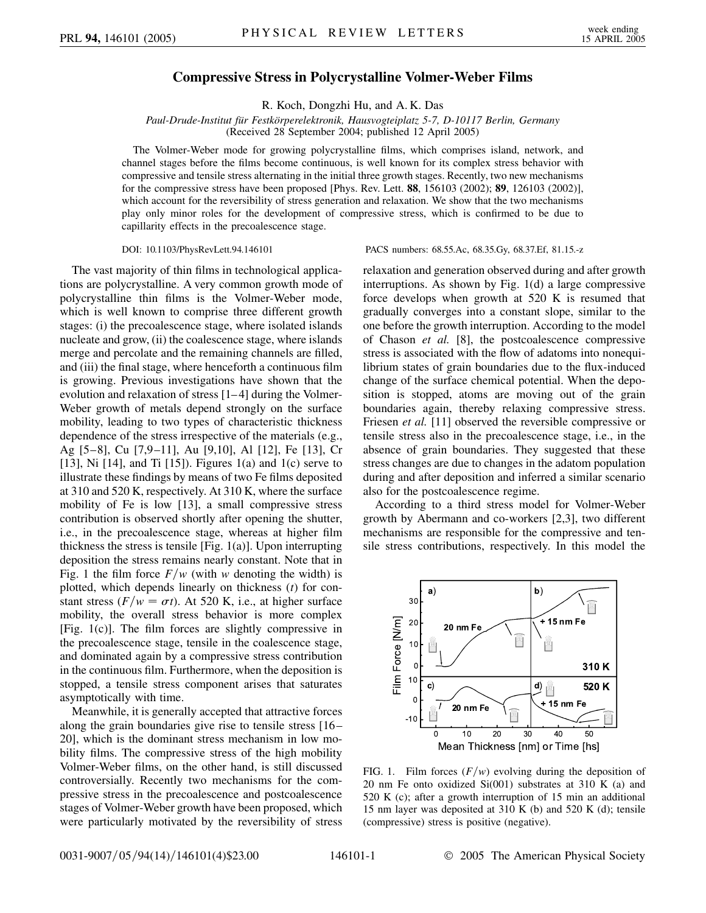## **Compressive Stress in Polycrystalline Volmer-Weber Films**

R. Koch, Dongzhi Hu, and A. K. Das

*Paul-Drude-Institut fu¨r Festko¨rperelektronik, Hausvogteiplatz 5-7, D-10117 Berlin, Germany* (Received 28 September 2004; published 12 April 2005)

The Volmer-Weber mode for growing polycrystalline films, which comprises island, network, and channel stages before the films become continuous, is well known for its complex stress behavior with compressive and tensile stress alternating in the initial three growth stages. Recently, two new mechanisms for the compressive stress have been proposed [Phys. Rev. Lett. **88**, 156103 (2002); **89**, 126103 (2002)], which account for the reversibility of stress generation and relaxation. We show that the two mechanisms play only minor roles for the development of compressive stress, which is confirmed to be due to capillarity effects in the precoalescence stage.

The vast majority of thin films in technological applications are polycrystalline. A very common growth mode of polycrystalline thin films is the Volmer-Weber mode, which is well known to comprise three different growth stages: (i) the precoalescence stage, where isolated islands nucleate and grow, (ii) the coalescence stage, where islands merge and percolate and the remaining channels are filled, and (iii) the final stage, where henceforth a continuous film is growing. Previous investigations have shown that the evolution and relaxation of stress [1– 4] during the Volmer-Weber growth of metals depend strongly on the surface mobility, leading to two types of characteristic thickness dependence of the stress irrespective of the materials (e.g., Ag [5–8], Cu [7,9–11], Au [9,10], Al [12], Fe [13], Cr [13], Ni  $[14]$ , and Ti  $[15]$ ). Figures 1(a) and 1(c) serve to illustrate these findings by means of two Fe films deposited at 310 and 520 K, respectively. At 310 K, where the surface mobility of Fe is low [13], a small compressive stress contribution is observed shortly after opening the shutter, i.e., in the precoalescence stage, whereas at higher film thickness the stress is tensile [Fig. 1(a)]. Upon interrupting deposition the stress remains nearly constant. Note that in Fig. 1 the film force  $F/w$  (with *w* denoting the width) is plotted, which depends linearly on thickness (*t*) for constant stress  $(F/w = \sigma t)$ . At 520 K, i.e., at higher surface mobility, the overall stress behavior is more complex [Fig. 1(c)]. The film forces are slightly compressive in the precoalescence stage, tensile in the coalescence stage, and dominated again by a compressive stress contribution in the continuous film. Furthermore, when the deposition is stopped, a tensile stress component arises that saturates asymptotically with time.

Meanwhile, it is generally accepted that attractive forces along the grain boundaries give rise to tensile stress [16– 20], which is the dominant stress mechanism in low mobility films. The compressive stress of the high mobility Volmer-Weber films, on the other hand, is still discussed controversially. Recently two mechanisms for the compressive stress in the precoalescence and postcoalescence stages of Volmer-Weber growth have been proposed, which were particularly motivated by the reversibility of stress

DOI: 10.1103/PhysRevLett.94.146101 PACS numbers: 68.55.Ac, 68.35.Gy, 68.37.Ef, 81.15.-z

relaxation and generation observed during and after growth interruptions. As shown by Fig. 1(d) a large compressive force develops when growth at 520 K is resumed that gradually converges into a constant slope, similar to the one before the growth interruption. According to the model of Chason *et al.* [8], the postcoalescence compressive stress is associated with the flow of adatoms into nonequilibrium states of grain boundaries due to the flux-induced change of the surface chemical potential. When the deposition is stopped, atoms are moving out of the grain boundaries again, thereby relaxing compressive stress. Friesen *et al.* [11] observed the reversible compressive or tensile stress also in the precoalescence stage, i.e., in the absence of grain boundaries. They suggested that these stress changes are due to changes in the adatom population during and after deposition and inferred a similar scenario also for the postcoalescence regime.

According to a third stress model for Volmer-Weber growth by Abermann and co-workers [2,3], two different mechanisms are responsible for the compressive and tensile stress contributions, respectively. In this model the



FIG. 1. Film forces  $(F/w)$  evolving during the deposition of 20 nm Fe onto oxidized  $Si(001)$  substrates at 310 K (a) and 520 K (c); after a growth interruption of 15 min an additional 15 nm layer was deposited at 310 K (b) and 520 K (d); tensile (compressive) stress is positive (negative).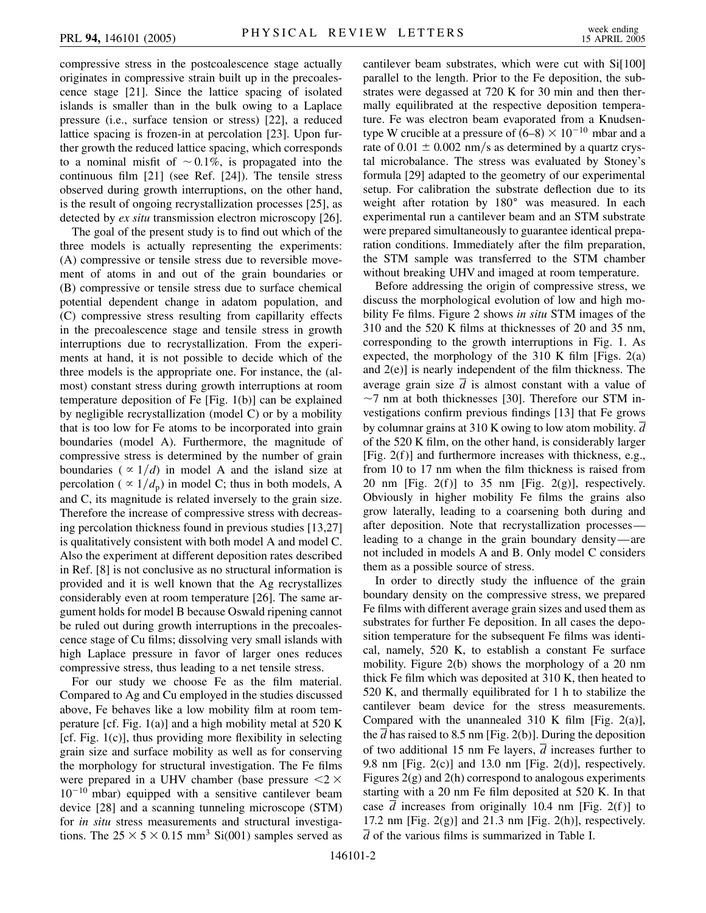compressive stress in the postcoalescence stage actually originates in compressive strain built up in the precoalescence stage [21]. Since the lattice spacing of isolated islands is smaller than in the bulk owing to a Laplace pressure (i.e., surface tension or stress) [22], a reduced lattice spacing is frozen-in at percolation [23]. Upon further growth the reduced lattice spacing, which corresponds to a nominal misfit of  $\sim 0.1\%$ , is propagated into the continuous film [21] (see Ref. [24]). The tensile stress observed during growth interruptions, on the other hand, is the result of ongoing recrystallization processes [25], as detected by *ex situ* transmission electron microscopy [26].

The goal of the present study is to find out which of the three models is actually representing the experiments: (A) compressive or tensile stress due to reversible movement of atoms in and out of the grain boundaries or (B) compressive or tensile stress due to surface chemical potential dependent change in adatom population, and (C) compressive stress resulting from capillarity effects in the precoalescence stage and tensile stress in growth interruptions due to recrystallization. From the experiments at hand, it is not possible to decide which of the three models is the appropriate one. For instance, the (almost) constant stress during growth interruptions at room temperature deposition of Fe [Fig. 1(b)] can be explained by negligible recrystallization (model C) or by a mobility that is too low for Fe atoms to be incorporated into grain boundaries (model A). Furthermore, the magnitude of compressive stress is determined by the number of grain boundaries ( $\propto 1/d$ ) in model A and the island size at percolation ( $\propto 1/d_p$ ) in model C; thus in both models, A and C, its magnitude is related inversely to the grain size. Therefore the increase of compressive stress with decreasing percolation thickness found in previous studies [13,27] is qualitatively consistent with both model A and model C. Also the experiment at different deposition rates described in Ref. [8] is not conclusive as no structural information is provided and it is well known that the Ag recrystallizes considerably even at room temperature [26]. The same argument holds for model B because Oswald ripening cannot be ruled out during growth interruptions in the precoalescence stage of Cu films; dissolving very small islands with high Laplace pressure in favor of larger ones reduces compressive stress, thus leading to a net tensile stress.

For our study we choose Fe as the film material. Compared to Ag and Cu employed in the studies discussed above, Fe behaves like a low mobility film at room temperature [cf. Fig.  $1(a)$ ] and a high mobility metal at 520 K [cf. Fig.  $1(c)$ ], thus providing more flexibility in selecting grain size and surface mobility as well as for conserving the morphology for structural investigation. The Fe films were prepared in a UHV chamber (base pressure *<*2  $10^{-10}$  mbar) equipped with a sensitive cantilever beam device [28] and a scanning tunneling microscope (STM) for *in situ* stress measurements and structural investigations. The  $25 \times 5 \times 0.15$  mm<sup>3</sup> Si(001) samples served as cantilever beam substrates, which were cut with Si[100] parallel to the length. Prior to the Fe deposition, the substrates were degassed at 720 K for 30 min and then thermally equilibrated at the respective deposition temperature. Fe was electron beam evaporated from a Knudsentype W crucible at a pressure of  $(6-8) \times 10^{-10}$  mbar and a rate of  $0.01 \pm 0.002$  nm/s as determined by a quartz crystal microbalance. The stress was evaluated by Stoney's formula [29] adapted to the geometry of our experimental setup. For calibration the substrate deflection due to its weight after rotation by 180° was measured. In each experimental run a cantilever beam and an STM substrate were prepared simultaneously to guarantee identical preparation conditions. Immediately after the film preparation, the STM sample was transferred to the STM chamber without breaking UHV and imaged at room temperature.

Before addressing the origin of compressive stress, we discuss the morphological evolution of low and high mobility Fe films. Figure 2 shows *in situ* STM images of the 310 and the 520 K films at thicknesses of 20 and 35 nm, corresponding to the growth interruptions in Fig. 1. As expected, the morphology of the 310 K film [Figs.  $2(a)$ ] and 2(e)] is nearly independent of the film thickness. The average grain size *d* is almost constant with a value of  $\sim$ 7 nm at both thicknesses [30]. Therefore our STM investigations confirm previous findings [13] that Fe grows by columnar grains at 310 K owing to low atom mobility.  $\overline{d}$ of the 520 K film, on the other hand, is considerably larger [Fig. 2(f)] and furthermore increases with thickness, e.g., from 10 to 17 nm when the film thickness is raised from 20 nm [Fig. 2(f)] to 35 nm [Fig. 2(g)], respectively. Obviously in higher mobility Fe films the grains also grow laterally, leading to a coarsening both during and after deposition. Note that recrystallization processes leading to a change in the grain boundary density—are not included in models A and B. Only model C considers them as a possible source of stress.

In order to directly study the influence of the grain boundary density on the compressive stress, we prepared Fe films with different average grain sizes and used them as substrates for further Fe deposition. In all cases the deposition temperature for the subsequent Fe films was identical, namely, 520 K, to establish a constant Fe surface mobility. Figure 2(b) shows the morphology of a 20 nm thick Fe film which was deposited at 310 K, then heated to 520 K, and thermally equilibrated for 1 h to stabilize the cantilever beam device for the stress measurements. Compared with the unannealed 310 K film [Fig. 2(a)], the  $\overline{d}$  has raised to 8.5 nm [Fig. 2(b)]. During the deposition of two additional 15 nm Fe layers,  $\overline{d}$  increases further to 9.8 nm [Fig.  $2(c)$ ] and 13.0 nm [Fig.  $2(d)$ ], respectively. Figures 2(g) and 2(h) correspond to analogous experiments starting with a 20 nm Fe film deposited at 520 K. In that case  $\overline{d}$  increases from originally 10.4 nm [Fig. 2(f)] to 17.2 nm [Fig.  $2(g)$ ] and 21.3 nm [Fig.  $2(h)$ ], respectively.  $\overline{d}$  of the various films is summarized in Table I.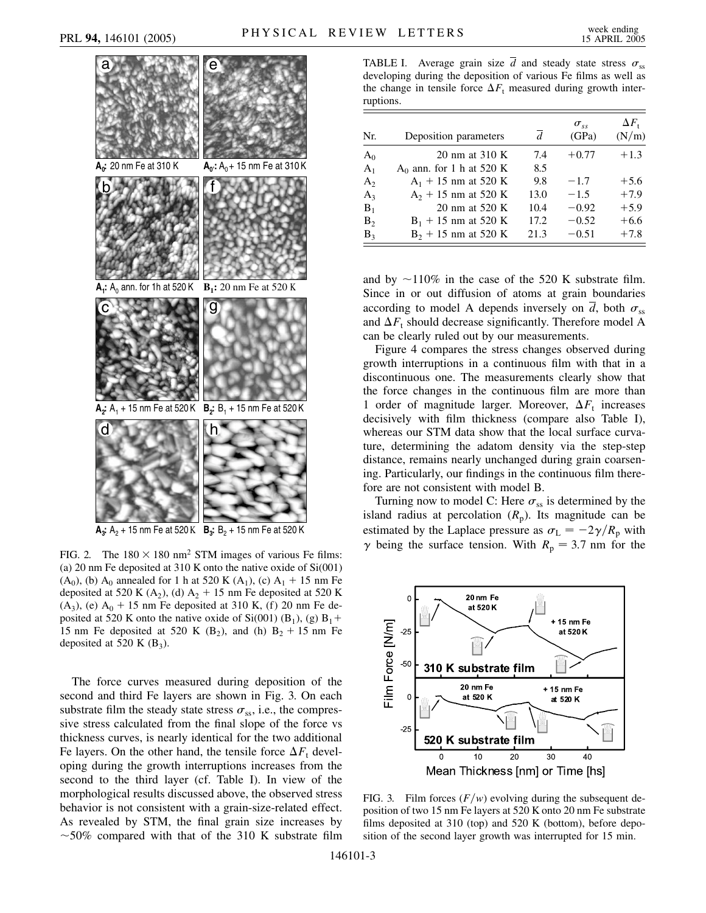

**A<sub>3</sub>:** A<sub>2</sub> + 15 nm Fe at 520 K **B<sub>3</sub>:** B<sub>2</sub> + 15 nm Fe at 520 K

FIG. 2. The  $180 \times 180$  nm<sup>2</sup> STM images of various Fe films: (a) 20 nm Fe deposited at 310 K onto the native oxide of Si(001)  $(A_0)$ , (b)  $A_0$  annealed for 1 h at 520 K  $(A_1)$ , (c)  $A_1 + 15$  nm Fe deposited at 520 K  $(A_2)$ , (d)  $A_2 + 15$  nm Fe deposited at 520 K  $(A_3)$ , (e)  $A_0 + 15$  nm Fe deposited at 310 K, (f) 20 nm Fe deposited at 520 K onto the native oxide of Si(001) (B<sub>1</sub>), (g) B<sub>1</sub>+ 15 nm Fe deposited at 520 K  $(B_2)$ , and (h)  $B_2 + 15$  nm Fe deposited at 520 K  $(B_3)$ .

The force curves measured during deposition of the second and third Fe layers are shown in Fig. 3. On each substrate film the steady state stress  $\sigma_{ss}$ , i.e., the compressive stress calculated from the final slope of the force vs thickness curves, is nearly identical for the two additional Fe layers. On the other hand, the tensile force  $\Delta F_t$  developing during the growth interruptions increases from the second to the third layer (cf. Table I). In view of the morphological results discussed above, the observed stress behavior is not consistent with a grain-size-related effect. As revealed by STM, the final grain size increases by  $\sim$  50% compared with that of the 310 K substrate film

TABLE I. Average grain size  $\overline{d}$  and steady state stress  $\sigma_{ss}$ developing during the deposition of various Fe films as well as the change in tensile force  $\Delta F_t$  measured during growth interruptions.

| Nr.   | Deposition parameters       | $\overline{d}$ | $\sigma_{ss}$<br>(GPa) | $\Delta F_{\rm t}$<br>(N/m) |
|-------|-----------------------------|----------------|------------------------|-----------------------------|
| $A_0$ | 20 nm at 310 K              | 7.4            | $+0.77$                | $+1.3$                      |
| $A_1$ | $A_0$ ann. for 1 h at 520 K | 8.5            |                        |                             |
| $A_2$ | $A_1$ + 15 nm at 520 K      | 9.8            | $-1.7$                 | $+5.6$                      |
| $A_3$ | $A_2$ + 15 nm at 520 K      | 13.0           | $-1.5$                 | $+7.9$                      |
| $B_1$ | 20 nm at 520 K              | 10.4           | $-0.92$                | $+5.9$                      |
| $B_2$ | $B_1$ + 15 nm at 520 K      | 17.2           | $-0.52$                | $+6.6$                      |
| $B_3$ | $B_2$ + 15 nm at 520 K      | 21.3           | $-0.51$                | $+7.8$                      |

and by  $\sim$ 110% in the case of the 520 K substrate film. Since in or out diffusion of atoms at grain boundaries according to model A depends inversely on  $\overline{d}$ , both  $\sigma_{ss}$ and  $\Delta F_t$  should decrease significantly. Therefore model A can be clearly ruled out by our measurements.

Figure 4 compares the stress changes observed during growth interruptions in a continuous film with that in a discontinuous one. The measurements clearly show that the force changes in the continuous film are more than 1 order of magnitude larger. Moreover,  $\Delta F_t$  increases decisively with film thickness (compare also Table I), whereas our STM data show that the local surface curvature, determining the adatom density via the step-step distance, remains nearly unchanged during grain coarsening. Particularly, our findings in the continuous film therefore are not consistent with model B.

Turning now to model C: Here  $\sigma_{ss}$  is determined by the island radius at percolation  $(R_p)$ . Its magnitude can be estimated by the Laplace pressure as  $\sigma_{\rm L} = -2\gamma/R_{\rm p}$  with  $\gamma$  being the surface tension. With  $R_p = 3.7$  nm for the



FIG. 3. Film forces  $(F/w)$  evolving during the subsequent deposition of two 15 nm Fe layers at 520 K onto 20 nm Fe substrate films deposited at 310 (top) and 520 K (bottom), before deposition of the second layer growth was interrupted for 15 min.